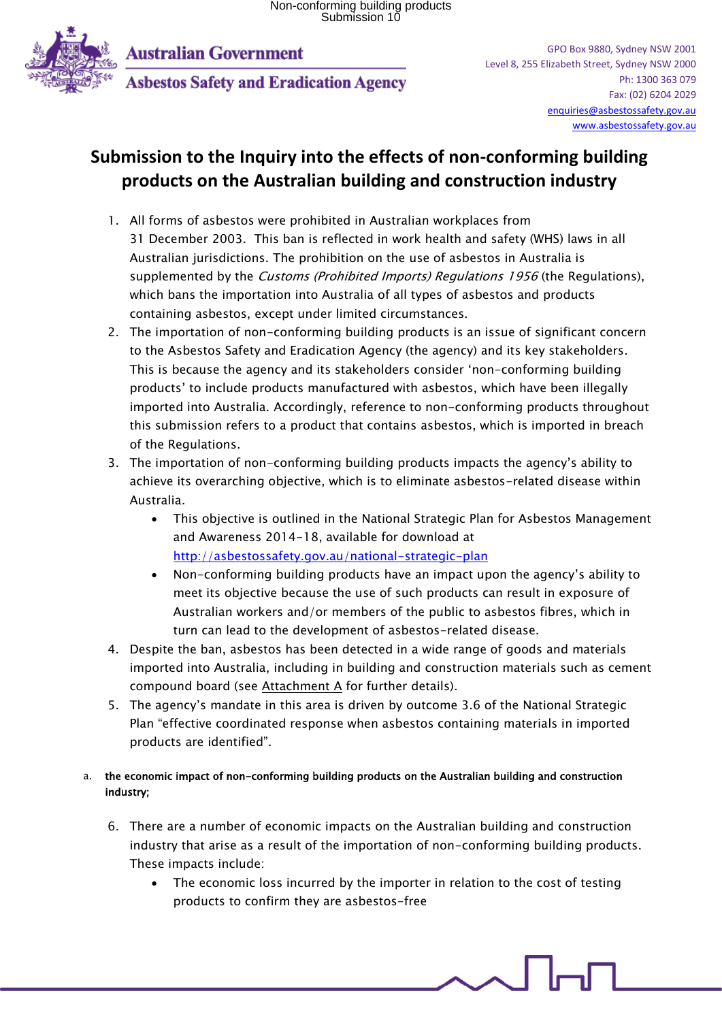

**Australian Government** 

**Asbestos Safety and Eradication Agency** 

## **Submission to the Inquiry into the effects of non-conforming building products on the Australian building and construction industry**

- 1. All forms of asbestos were prohibited in Australian workplaces from 31 December 2003. This ban is reflected in work health and safety (WHS) laws in all Australian jurisdictions. The prohibition on the use of asbestos in Australia is supplemented by the *Customs (Prohibited Imports) Regulations 1956* (the Regulations), which bans the importation into Australia of all types of asbestos and products containing asbestos, except under limited circumstances.
- 2. The importation of non-conforming building products is an issue of significant concern to the Asbestos Safety and Eradication Agency (the agency) and its key stakeholders. This is because the agency and its stakeholders consider 'non-conforming building products' to include products manufactured with asbestos, which have been illegally imported into Australia. Accordingly, reference to non-conforming products throughout this submission refers to a product that contains asbestos, which is imported in breach of the Regulations.
- 3. The importation of non-conforming building products impacts the agency's ability to achieve its overarching objective, which is to eliminate asbestos-related disease within Australia.
	- This objective is outlined in the National Strategic Plan for Asbestos Management and Awareness 2014-18, available for download at <http://asbestossafety.gov.au/national-strategic-plan>
	- Non-conforming building products have an impact upon the agency's ability to meet its objective because the use of such products can result in exposure of Australian workers and/or members of the public to asbestos fibres, which in turn can lead to the development of asbestos-related disease.
- 4. Despite the ban, asbestos has been detected in a wide range of goods and materials imported into Australia, including in building and construction materials such as cement compound board (see Attachment A for further details).
- 5. The agency's mandate in this area is driven by outcome 3.6 of the National Strategic Plan "effective coordinated response when asbestos containing materials in imported products are identified".

#### a. the economic impact of non-conforming building products on the Australian building and construction industry;

- 6. There are a number of economic impacts on the Australian building and construction industry that arise as a result of the importation of non-conforming building products. These impacts include:
	- The economic loss incurred by the importer in relation to the cost of testing products to confirm they are asbestos-free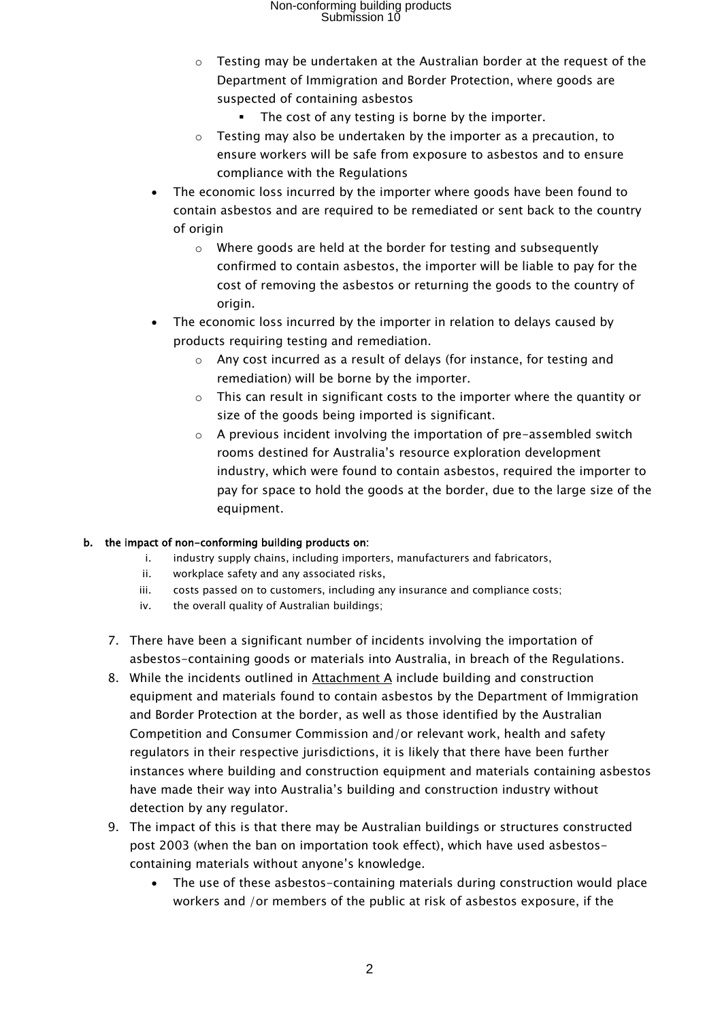## Non-conforming building products Submission 10

- o Testing may be undertaken at the Australian border at the request of the Department of Immigration and Border Protection, where goods are suspected of containing asbestos
	- The cost of any testing is borne by the importer.
- $\circ$  Testing may also be undertaken by the importer as a precaution, to ensure workers will be safe from exposure to asbestos and to ensure compliance with the Regulations
- The economic loss incurred by the importer where goods have been found to contain asbestos and are required to be remediated or sent back to the country of origin
	- $\circ$  Where goods are held at the border for testing and subsequently confirmed to contain asbestos, the importer will be liable to pay for the cost of removing the asbestos or returning the goods to the country of origin.
- The economic loss incurred by the importer in relation to delays caused by products requiring testing and remediation.
	- o Any cost incurred as a result of delays (for instance, for testing and remediation) will be borne by the importer.
	- $\circ$  This can result in significant costs to the importer where the quantity or size of the goods being imported is significant.
	- $\circ$  A previous incident involving the importation of pre-assembled switch rooms destined for Australia's resource exploration development industry, which were found to contain asbestos, required the importer to pay for space to hold the goods at the border, due to the large size of the equipment.

#### b. the impact of non-conforming building products on:

- i. industry supply chains, including importers, manufacturers and fabricators,
- ii. workplace safety and any associated risks,
- iii. costs passed on to customers, including any insurance and compliance costs;
- iv. the overall quality of Australian buildings;
- 7. There have been a significant number of incidents involving the importation of asbestos-containing goods or materials into Australia, in breach of the Regulations.
- 8. While the incidents outlined in Attachment A include building and construction equipment and materials found to contain asbestos by the Department of Immigration and Border Protection at the border, as well as those identified by the Australian Competition and Consumer Commission and/or relevant work, health and safety regulators in their respective jurisdictions, it is likely that there have been further instances where building and construction equipment and materials containing asbestos have made their way into Australia's building and construction industry without detection by any regulator.
- 9. The impact of this is that there may be Australian buildings or structures constructed post 2003 (when the ban on importation took effect), which have used asbestoscontaining materials without anyone's knowledge.
	- The use of these asbestos-containing materials during construction would place workers and /or members of the public at risk of asbestos exposure, if the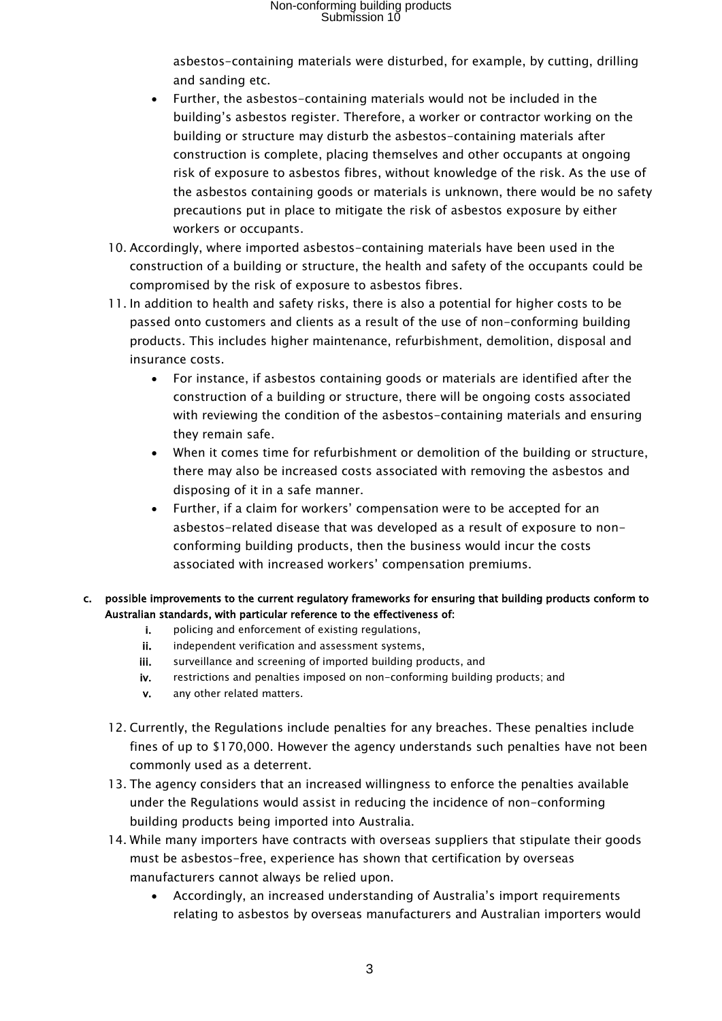asbestos-containing materials were disturbed, for example, by cutting, drilling and sanding etc.

- Further, the asbestos-containing materials would not be included in the building's asbestos register. Therefore, a worker or contractor working on the building or structure may disturb the asbestos-containing materials after construction is complete, placing themselves and other occupants at ongoing risk of exposure to asbestos fibres, without knowledge of the risk. As the use of the asbestos containing goods or materials is unknown, there would be no safety precautions put in place to mitigate the risk of asbestos exposure by either workers or occupants.
- 10. Accordingly, where imported asbestos-containing materials have been used in the construction of a building or structure, the health and safety of the occupants could be compromised by the risk of exposure to asbestos fibres.
- 11. In addition to health and safety risks, there is also a potential for higher costs to be passed onto customers and clients as a result of the use of non-conforming building products. This includes higher maintenance, refurbishment, demolition, disposal and insurance costs.
	- For instance, if asbestos containing goods or materials are identified after the construction of a building or structure, there will be ongoing costs associated with reviewing the condition of the asbestos-containing materials and ensuring they remain safe.
	- When it comes time for refurbishment or demolition of the building or structure, there may also be increased costs associated with removing the asbestos and disposing of it in a safe manner.
	- Further, if a claim for workers' compensation were to be accepted for an asbestos-related disease that was developed as a result of exposure to nonconforming building products, then the business would incur the costs associated with increased workers' compensation premiums.

#### c. possible improvements to the current regulatory frameworks for ensuring that building products conform to Australian standards, with particular reference to the effectiveness of:

- i. policing and enforcement of existing regulations,
- ii. independent verification and assessment systems,
- iii. surveillance and screening of imported building products, and
- iv. restrictions and penalties imposed on non-conforming building products; and
- v. any other related matters.
- 12. Currently, the Regulations include penalties for any breaches. These penalties include fines of up to \$170,000. However the agency understands such penalties have not been commonly used as a deterrent.
- 13. The agency considers that an increased willingness to enforce the penalties available under the Regulations would assist in reducing the incidence of non-conforming building products being imported into Australia.
- 14. While many importers have contracts with overseas suppliers that stipulate their goods must be asbestos-free, experience has shown that certification by overseas manufacturers cannot always be relied upon.
	- Accordingly, an increased understanding of Australia's import requirements relating to asbestos by overseas manufacturers and Australian importers would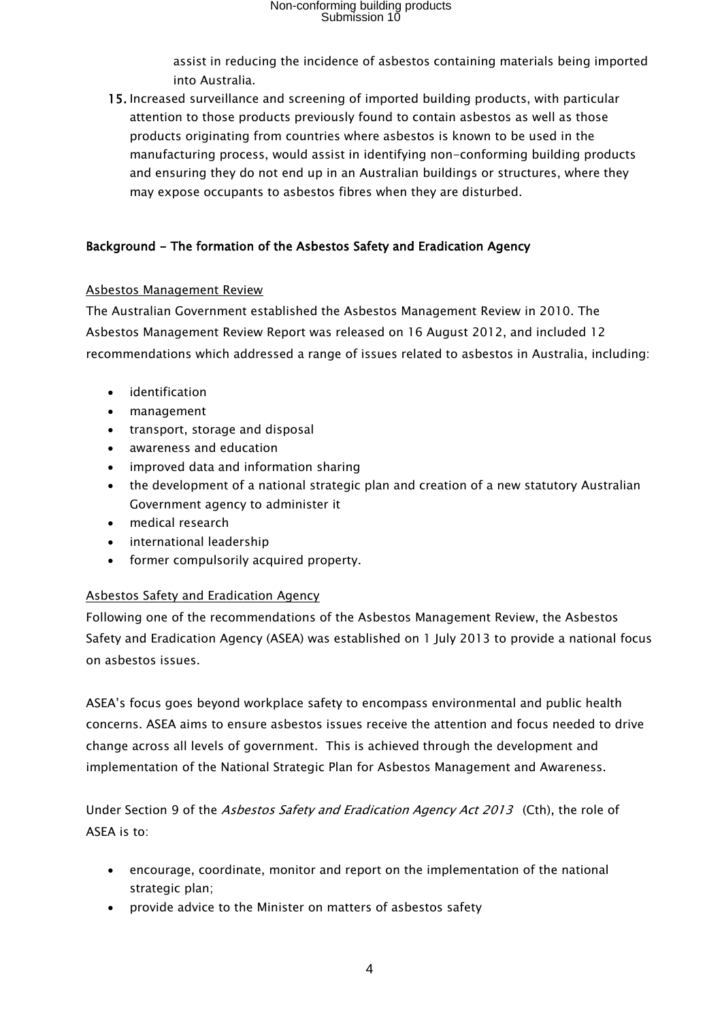## Non-conforming building products Submission 10

assist in reducing the incidence of asbestos containing materials being imported into Australia.

15. Increased surveillance and screening of imported building products, with particular attention to those products previously found to contain asbestos as well as those products originating from countries where asbestos is known to be used in the manufacturing process, would assist in identifying non-conforming building products and ensuring they do not end up in an Australian buildings or structures, where they may expose occupants to asbestos fibres when they are disturbed.

#### Background - The formation of the Asbestos Safety and Eradication Agency

#### Asbestos Management Review

The Australian Government established the Asbestos Management Review in 2010. The Asbestos Management Review Report was released on 16 August 2012, and included 12 recommendations which addressed a range of issues related to asbestos in Australia, including:

- **•** identification
- management
- transport, storage and disposal
- awareness and education
- improved data and information sharing
- the development of a national strategic plan and creation of a new statutory Australian Government agency to administer it
- medical research
- international leadership
- former compulsorily acquired property.

#### Asbestos Safety and Eradication Agency

Following one of the recommendations of the Asbestos Management Review, the Asbestos Safety and Eradication Agency (ASEA) was established on 1 July 2013 to provide a national focus on asbestos issues.

ASEA's focus goes beyond workplace safety to encompass environmental and public health concerns. ASEA aims to ensure asbestos issues receive the attention and focus needed to drive change across all levels of government. This is achieved through the development and implementation of the National Strategic Plan for Asbestos Management and Awareness.

Under Section 9 of the Asbestos Safety and Eradication Agency Act 2013 (Cth), the role of ASEA is to:

- encourage, coordinate, monitor and report on the implementation of the national strategic plan;
- provide advice to the Minister on matters of asbestos safety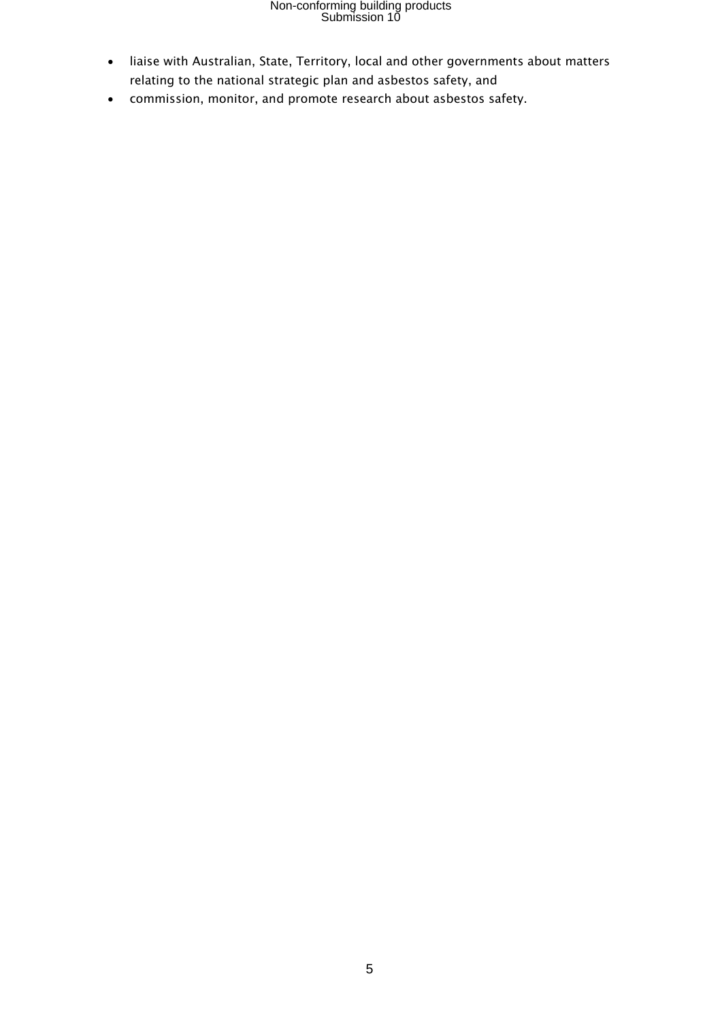# Non-conforming building products Submission 10

- liaise with Australian, State, Territory, local and other governments about matters relating to the national strategic plan and asbestos safety, and
- commission, monitor, and promote research about asbestos safety.